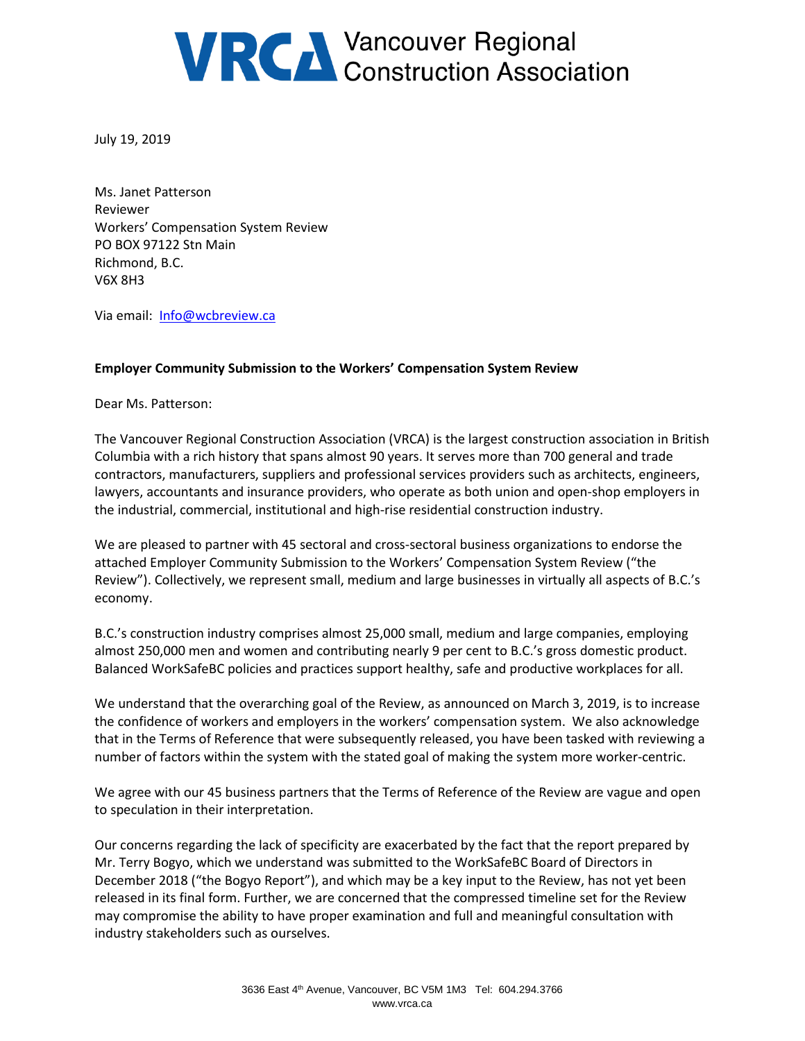## **VRCA** Vancouver Regional<br>Construction Association

July 19, 2019

Ms. Janet Patterson Reviewer Workers' Compensation System Review PO BOX 97122 Stn Main Richmond, B.C. V6X 8H3

Via email: [Info@wcbreview.ca](mailto:Info@wcbreview.ca)

## **Employer Community Submission to the Workers' Compensation System Review**

Dear Ms. Patterson:

The Vancouver Regional Construction Association (VRCA) is the largest construction association in British Columbia with a rich history that spans almost 90 years. It serves more than 700 general and trade contractors, manufacturers, suppliers and professional services providers such as architects, engineers, lawyers, accountants and insurance providers, who operate as both union and open-shop employers in the industrial, commercial, institutional and high-rise residential construction industry.

We are pleased to partner with 45 sectoral and cross-sectoral business organizations to endorse the attached Employer Community Submission to the Workers' Compensation System Review ("the Review"). Collectively, we represent small, medium and large businesses in virtually all aspects of B.C.'s economy.

B.C.'s construction industry comprises almost 25,000 small, medium and large companies, employing almost 250,000 men and women and contributing nearly 9 per cent to B.C.'s gross domestic product. Balanced WorkSafeBC policies and practices support healthy, safe and productive workplaces for all.

We understand that the overarching goal of the Review, as announced on March 3, 2019, is to increase the confidence of workers and employers in the workers' compensation system. We also acknowledge that in the Terms of Reference that were subsequently released, you have been tasked with reviewing a number of factors within the system with the stated goal of making the system more worker-centric.

We agree with our 45 business partners that the Terms of Reference of the Review are vague and open to speculation in their interpretation.

Our concerns regarding the lack of specificity are exacerbated by the fact that the report prepared by Mr. Terry Bogyo, which we understand was submitted to the WorkSafeBC Board of Directors in December 2018 ("the Bogyo Report"), and which may be a key input to the Review, has not yet been released in its final form. Further, we are concerned that the compressed timeline set for the Review may compromise the ability to have proper examination and full and meaningful consultation with industry stakeholders such as ourselves.